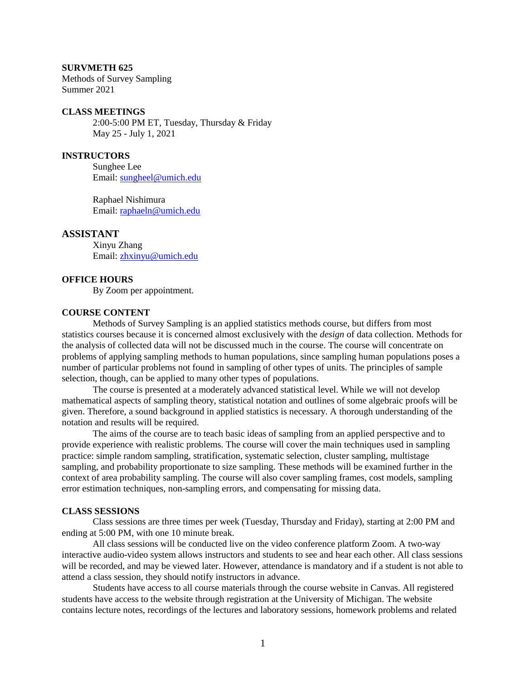#### **SURVMETH 625**

Methods of Survey Sampling Summer 2021

#### **CLASS MEETINGS**

2:00-5:00 PM ET, Tuesday, Thursday & Friday May 25 - July 1, 2021

# **INSTRUCTORS**

Sunghee Lee Email: [sungheel@umich.edu](mailto:sungheel@umich.edu)

Raphael Nishimura Email: [raphaeln@umich.edu](mailto:raphaeln@umich.edu)

#### **ASSISTANT**

Xinyu Zhang Email:<zhxinyu@umich.edu>

## **OFFICE HOURS**

By Zoom per appointment.

#### **COURSE CONTENT**

Methods of Survey Sampling is an applied statistics methods course, but differs from most statistics courses because it is concerned almost exclusively with the *design* of data collection. Methods for the analysis of collected data will not be discussed much in the course. The course will concentrate on problems of applying sampling methods to human populations, since sampling human populations poses a number of particular problems not found in sampling of other types of units. The principles of sample selection, though, can be applied to many other types of populations.

The course is presented at a moderately advanced statistical level. While we will not develop mathematical aspects of sampling theory, statistical notation and outlines of some algebraic proofs will be given. Therefore, a sound background in applied statistics is necessary. A thorough understanding of the notation and results will be required.

The aims of the course are to teach basic ideas of sampling from an applied perspective and to provide experience with realistic problems. The course will cover the main techniques used in sampling practice: simple random sampling, stratification, systematic selection, cluster sampling, multistage sampling, and probability proportionate to size sampling. These methods will be examined further in the context of area probability sampling. The course will also cover sampling frames, cost models, sampling error estimation techniques, non-sampling errors, and compensating for missing data.

#### **CLASS SESSIONS**

Class sessions are three times per week (Tuesday, Thursday and Friday), starting at 2:00 PM and ending at 5:00 PM, with one 10 minute break.

All class sessions will be conducted live on the video conference platform Zoom. A two-way interactive audio-video system allows instructors and students to see and hear each other. All class sessions will be recorded, and may be viewed later. However, attendance is mandatory and if a student is not able to attend a class session, they should notify instructors in advance.

Students have access to all course materials through the course website in Canvas. All registered students have access to the website through registration at the University of Michigan. The website contains lecture notes, recordings of the lectures and laboratory sessions, homework problems and related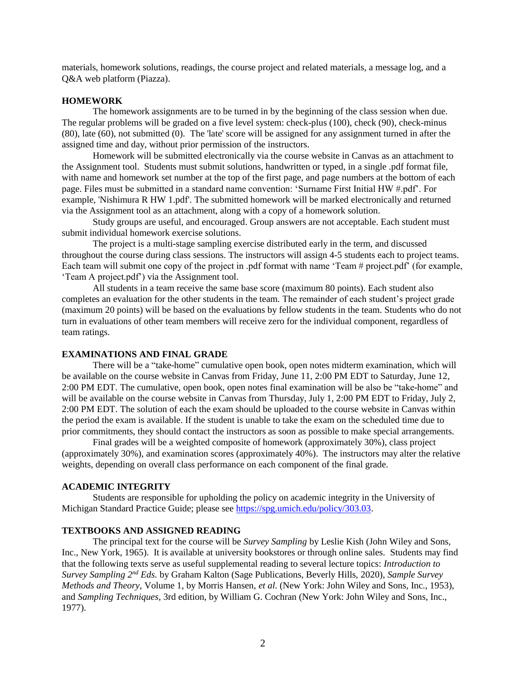materials, homework solutions, readings, the course project and related materials, a message log, and a Q&A web platform (Piazza).

#### **HOMEWORK**

The homework assignments are to be turned in by the beginning of the class session when due. The regular problems will be graded on a five level system: check-plus (100), check (90), check-minus (80), late (60), not submitted (0). The 'late' score will be assigned for any assignment turned in after the assigned time and day, without prior permission of the instructors.

Homework will be submitted electronically via the course website in Canvas as an attachment to the Assignment tool. Students must submit solutions, handwritten or typed, in a single .pdf format file, with name and homework set number at the top of the first page, and page numbers at the bottom of each page. Files must be submitted in a standard name convention: 'Surname First Initial HW #.pdf'. For example, 'Nishimura R HW 1.pdf'. The submitted homework will be marked electronically and returned via the Assignment tool as an attachment, along with a copy of a homework solution.

Study groups are useful, and encouraged. Group answers are not acceptable. Each student must submit individual homework exercise solutions.

The project is a multi-stage sampling exercise distributed early in the term, and discussed throughout the course during class sessions. The instructors will assign 4-5 students each to project teams. Each team will submit one copy of the project in .pdf format with name 'Team # project.pdf' (for example, 'Team A project.pdf') via the Assignment tool.

All students in a team receive the same base score (maximum 80 points). Each student also completes an evaluation for the other students in the team. The remainder of each student's project grade (maximum 20 points) will be based on the evaluations by fellow students in the team. Students who do not turn in evaluations of other team members will receive zero for the individual component, regardless of team ratings.

## **EXAMINATIONS AND FINAL GRADE**

There will be a "take-home" cumulative open book, open notes midterm examination, which will be available on the course website in Canvas from Friday, June 11, 2:00 PM EDT to Saturday, June 12, 2:00 PM EDT. The cumulative, open book, open notes final examination will be also be "take-home" and will be available on the course website in Canvas from Thursday, July 1, 2:00 PM EDT to Friday, July 2, 2:00 PM EDT. The solution of each the exam should be uploaded to the course website in Canvas within the period the exam is available. If the student is unable to take the exam on the scheduled time due to prior commitments, they should contact the instructors as soon as possible to make special arrangements.

Final grades will be a weighted composite of homework (approximately 30%), class project (approximately 30%), and examination scores (approximately 40%). The instructors may alter the relative weights, depending on overall class performance on each component of the final grade.

#### **ACADEMIC INTEGRITY**

Students are responsible for upholding the policy on academic integrity in the University of Michigan Standard Practice Guide; please see [https://spg.umich.edu/policy/303.03.](https://spg.umich.edu/policy/303.03)

#### **TEXTBOOKS AND ASSIGNED READING**

The principal text for the course will be *Survey Sampling* by Leslie Kish (John Wiley and Sons, Inc., New York, 1965). It is available at university bookstores or through online sales. Students may find that the following texts serve as useful supplemental reading to several lecture topics: *Introduction to Survey Sampling 2<sup>nd</sup> Eds.* by Graham Kalton (Sage Publications, Beverly Hills, 2020), *Sample Survey Methods and Theory*, Volume 1, by Morris Hansen, *et al*. (New York: John Wiley and Sons, Inc., 1953), and *Sampling Techniques*, 3rd edition, by William G. Cochran (New York: John Wiley and Sons, Inc., 1977).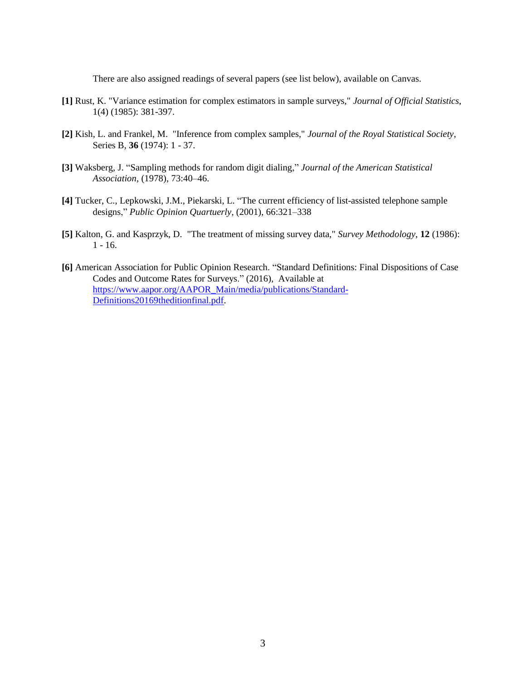There are also assigned readings of several papers (see list below), available on Canvas.

- **[1]** Rust, K. "Variance estimation for complex estimators in sample surveys," *Journal of Official Statistics*, 1(4) (1985): 381-397.
- **[2]** Kish, L. and Frankel, M. "Inference from complex samples," *Journal of the Royal Statistical Society*, Series B, **36** (1974): 1 - 37.
- **[3]** Waksberg, J. "Sampling methods for random digit dialing," *Journal of the American Statistical Association*, (1978), 73:40–46.
- **[4]** Tucker, C., Lepkowski, J.M., Piekarski, L. "The current efficiency of list-assisted telephone sample designs," *Public Opinion Quartuerly*, (2001), 66:321–338
- **[5]** Kalton, G. and Kasprzyk, D. "The treatment of missing survey data," *Survey Methodology*, **12** (1986): 1 - 16.
- **[6]** American Association for Public Opinion Research. "Standard Definitions: Final Dispositions of Case Codes and Outcome Rates for Surveys." (2016), Available at [https://www.aapor.org/AAPOR\\_Main/media/publications/Standard-](https://www.aapor.org/AAPOR_Main/media/publications/Standard-Definitions20169theditionfinal.pdf)[Definitions20169theditionfinal.pdf.](https://www.aapor.org/AAPOR_Main/media/publications/Standard-Definitions20169theditionfinal.pdf)